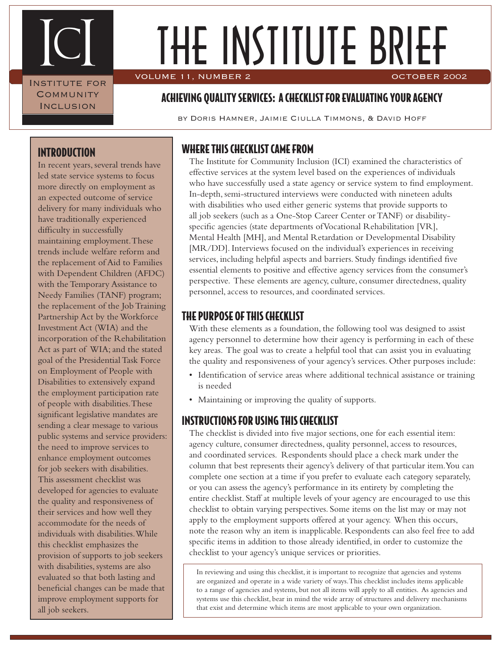IcI INSTITUTE FOR **COMMUNITY INCLUSION** 

# THE INSTITUTE BRIEF VOLUME 11, NUMBER 2 OCTOBER 2002

### ACHIEVING QUALITY SERVICES: A CHECKLIST FOR EVALUATING YOUR AGENCY

by Doris Hamner, Jaimie Ciulla Timmons, & David Hoff

### INTRODUCTION

In recent years, several trends have led state service systems to focus more directly on employment as an expected outcome of service delivery for many individuals who have traditionally experienced difficulty in successfully maintaining employment. These trends include welfare reform and the replacement of Aid to Families with Dependent Children (AFDC) with the Temporary Assistance to Needy Families (TANF) program; the replacement of the Job Training Partnership Act by the Workforce Investment Act (WIA) and the incorporation of the Rehabilitation Act as part of WIA; and the stated goal of the Presidential Task Force on Employment of People with Disabilities to extensively expand the employment participation rate of people with disabilities. These significant legislative mandates are sending a clear message to various public systems and service providers: the need to improve services to enhance employment outcomes for job seekers with disabilities. This assessment checklist was developed for agencies to evaluate the quality and responsiveness of their services and how well they accommodate for the needs of individuals with disabilities. While this checklist emphasizes the provision of supports to job seekers with disabilities, systems are also evaluated so that both lasting and beneficial changes can be made that improve employment supports for all job seekers.

### WHERE THIS CHECKLIST CAME FROM

The Institute for Community Inclusion (ICI) examined the characteristics of effective services at the system level based on the experiences of individuals who have successfully used a state agency or service system to find employment. In-depth, semi-structured interviews were conducted with nineteen adults with disabilities who used either generic systems that provide supports to all job seekers (such as a One-Stop Career Center or TANF) or disabilityspecific agencies (state departments of Vocational Rehabilitation [VR], Mental Health [MH], and Mental Retardation or Developmental Disability [MR/DD]. Interviews focused on the individual's experiences in receiving services, including helpful aspects and barriers. Study findings identified five essential elements to positive and effective agency services from the consumer's perspective. These elements are agency, culture, consumer directedness, quality personnel, access to resources, and coordinated services.

#### THE PURPOSE OF THIS CHECKLIST

With these elements as a foundation, the following tool was designed to assist agency personnel to determine how their agency is performing in each of these key areas. The goal was to create a helpful tool that can assist you in evaluating the quality and responsiveness of your agency's services. Other purposes include:

- Identification of service areas where additional technical assistance or training is needed
- Maintaining or improving the quality of supports.

### INSTRUCTIONS FOR USING THIS CHECKLIST

The checklist is divided into five major sections, one for each essential item: agency culture, consumer directedness, quality personnel, access to resources, and coordinated services. Respondents should place a check mark under the column that best represents their agency's delivery of that particular item. You can complete one section at a time if you prefer to evaluate each category separately, or you can assess the agency's performance in its entirety by completing the entire checklist. Staff at multiple levels of your agency are encouraged to use this checklist to obtain varying perspectives. Some items on the list may or may not apply to the employment supports offered at your agency. When this occurs, note the reason why an item is inapplicable. Respondents can also feel free to add specific items in addition to those already identified, in order to customize the checklist to your agency's unique services or priorities.

In reviewing and using this checklist, it is important to recognize that agencies and systems are organized and operate in a wide variety of ways. This checklist includes items applicable to a range of agencies and systems, but not all items will apply to all entities. As agencies and systems use this checklist, bear in mind the wide array of structures and delivery mechanisms that exist and determine which items are most applicable to your own organization.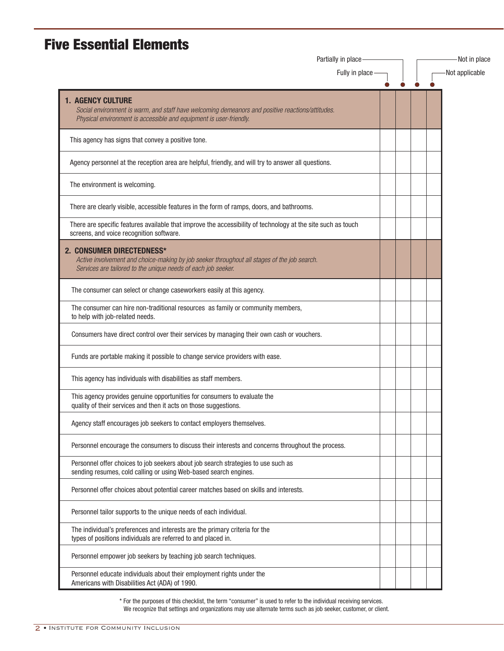## **Five Essential Elements**

|                                                                                                                                                                                                    | Partially in place<br>Fully in place |  |  | Not applicable |  |  |
|----------------------------------------------------------------------------------------------------------------------------------------------------------------------------------------------------|--------------------------------------|--|--|----------------|--|--|
|                                                                                                                                                                                                    |                                      |  |  |                |  |  |
| <b>1. AGENCY CULTURE</b><br>Social environment is warm, and staff have welcoming demeanors and positive reactions/attitudes.<br>Physical environment is accessible and equipment is user-friendly. |                                      |  |  |                |  |  |
| This agency has signs that convey a positive tone.                                                                                                                                                 |                                      |  |  |                |  |  |
| Agency personnel at the reception area are helpful, friendly, and will try to answer all questions.                                                                                                |                                      |  |  |                |  |  |
| The environment is welcoming.                                                                                                                                                                      |                                      |  |  |                |  |  |
| There are clearly visible, accessible features in the form of ramps, doors, and bathrooms.                                                                                                         |                                      |  |  |                |  |  |
| There are specific features available that improve the accessibility of technology at the site such as touch<br>screens, and voice recognition software.                                           |                                      |  |  |                |  |  |
| 2. CONSUMER DIRECTEDNESS*<br>Active involvement and choice-making by job seeker throughout all stages of the job search.<br>Services are tailored to the unique needs of each job seeker.          |                                      |  |  |                |  |  |
| The consumer can select or change caseworkers easily at this agency.                                                                                                                               |                                      |  |  |                |  |  |
| The consumer can hire non-traditional resources as family or community members,<br>to help with job-related needs.                                                                                 |                                      |  |  |                |  |  |
| Consumers have direct control over their services by managing their own cash or vouchers.                                                                                                          |                                      |  |  |                |  |  |
| Funds are portable making it possible to change service providers with ease.                                                                                                                       |                                      |  |  |                |  |  |
| This agency has individuals with disabilities as staff members.                                                                                                                                    |                                      |  |  |                |  |  |
| This agency provides genuine opportunities for consumers to evaluate the<br>quality of their services and then it acts on those suggestions.                                                       |                                      |  |  |                |  |  |
| Agency staff encourages job seekers to contact employers themselves.                                                                                                                               |                                      |  |  |                |  |  |
| Personnel encourage the consumers to discuss their interests and concerns throughout the process.                                                                                                  |                                      |  |  |                |  |  |
| Personnel offer choices to job seekers about job search strategies to use such as<br>sending resumes, cold calling or using Web-based search engines.                                              |                                      |  |  |                |  |  |
| Personnel offer choices about potential career matches based on skills and interests.                                                                                                              |                                      |  |  |                |  |  |
| Personnel tailor supports to the unique needs of each individual.                                                                                                                                  |                                      |  |  |                |  |  |
| The individual's preferences and interests are the primary criteria for the<br>types of positions individuals are referred to and placed in.                                                       |                                      |  |  |                |  |  |
| Personnel empower job seekers by teaching job search techniques.                                                                                                                                   |                                      |  |  |                |  |  |
| Personnel educate individuals about their employment rights under the<br>Americans with Disabilities Act (ADA) of 1990.                                                                            |                                      |  |  |                |  |  |

\* For the purposes of this checklist, the term "consumer" is used to refer to the individual receiving services. We recognize that settings and organizations may use alternate terms such as job seeker, customer, or client.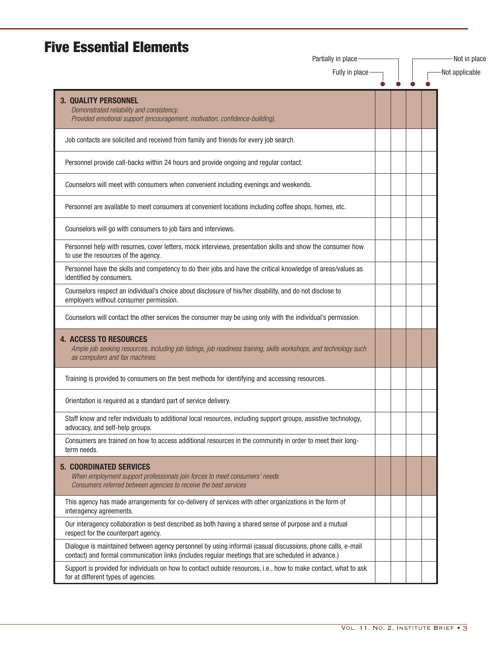### **Five Essential Elements**

| Partially in place                                                                                                                                                                                               |  |  | Not in place   |
|------------------------------------------------------------------------------------------------------------------------------------------------------------------------------------------------------------------|--|--|----------------|
| Fully in place                                                                                                                                                                                                   |  |  | Not applicable |
| <b>3. QUALITY PERSONNEL</b>                                                                                                                                                                                      |  |  |                |
| Demonstrated reliability and consistency.<br>Provided emotional support (encouragement, motivation, confidence-building).                                                                                        |  |  |                |
| Job contacts are solicited and received from family and friends for every job search.                                                                                                                            |  |  |                |
| Personnel provide call-backs within 24 hours and provide ongoing and regular contact.                                                                                                                            |  |  |                |
| Counselors will meet with consumers when convenient including evenings and weekends.                                                                                                                             |  |  |                |
| Personnel are available to meet consumers at convenient locations including coffee shops, homes, etc.                                                                                                            |  |  |                |
| Counselors will go with consumers to job fairs and interviews.                                                                                                                                                   |  |  |                |
| Personnel help with resumes, cover letters, mock interviews, presentation skills and show the consumer how<br>to use the resources of the agency.                                                                |  |  |                |
| Personnel have the skills and competency to do their jobs and have the critical knowledge of areas/values as<br>identified by consumers.                                                                         |  |  |                |
| Counselors respect an individual's choice about disclosure of his/her disability, and do not disclose to<br>employers without consumer permission.                                                               |  |  |                |
| Counselors will contact the other services the consumer may be using only with the individual's permission.                                                                                                      |  |  |                |
| <b>4. ACCESS TO RESOURCES</b><br>Ample job seeking resources, including job listings, job readiness training, skills workshops, and technology such<br>as computers and fax machines.                            |  |  |                |
| Training is provided to consumers on the best methods for identifying and accessing resources.                                                                                                                   |  |  |                |
| Orientation is required as a standard part of service delivery.                                                                                                                                                  |  |  |                |
| Staff know and refer individuals to additional local resources, including support groups, assistive technology,<br>advocacy, and self-help groups.                                                               |  |  |                |
| Consumers are trained on how to access additional resources in the community in order to meet their long-<br>term needs.                                                                                         |  |  |                |
| <b>5. COORDINATED SERVICES</b><br>When employment support professionals join forces to meet consumers' needs<br>Consumers referred between agencies to receive the best services                                 |  |  |                |
| This agency has made arrangements for co-delivery of services with other organizations in the form of<br>interagency agreements.                                                                                 |  |  |                |
| Our interagency collaboration is best described as both having a shared sense of purpose and a mutual<br>respect for the counterpart agency.                                                                     |  |  |                |
| Dialogue is maintained between agency personnel by using informal (casual discussions, phone calls, e-mail<br>contact) and formal communication links (includes regular meetings that are scheduled in advance.) |  |  |                |
| Support is provided for individuals on how to contact outside resources, i.e., how to make contact, what to ask<br>for at different types of agencies.                                                           |  |  |                |